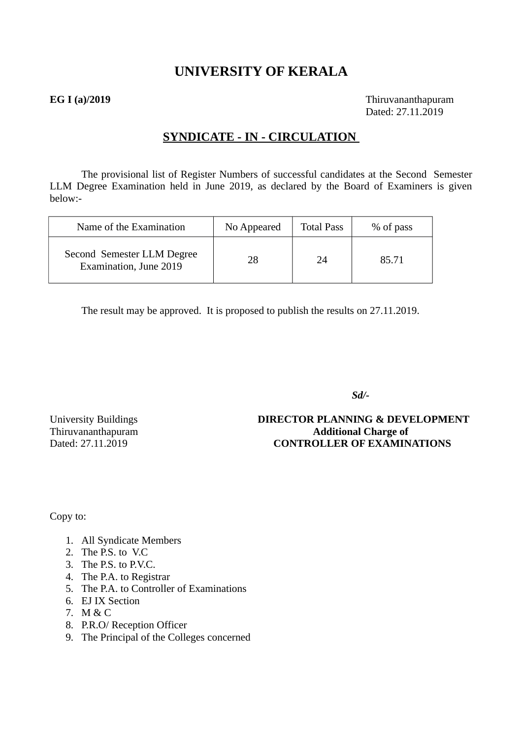# **UNIVERSITY OF KERALA**

**EG I (a)/2019** Thiruvananthapuram Dated: 27.11.2019

# **SYNDICATE - IN - CIRCULATION**

The provisional list of Register Numbers of successful candidates at the Second Semester LLM Degree Examination held in June 2019, as declared by the Board of Examiners is given below:-

| Name of the Examination                              | No Appeared | <b>Total Pass</b> | % of pass |
|------------------------------------------------------|-------------|-------------------|-----------|
| Second Semester LLM Degree<br>Examination, June 2019 | 28          | 24                | 85.71     |

The result may be approved. It is proposed to publish the results on 27.11.2019.

 *Sd/-*

University Buildings **DIRECTOR PLANNING & DEVELOPMENT** Thiruvananthapuram **Additional Charge of** Dated: 27.11.2019 **CONTROLLER OF EXAMINATIONS**

Copy to:

- 1. All Syndicate Members
- 2. The P.S. to V.C
- 3. The P.S. to P.V.C.
- 4. The P.A. to Registrar
- 5. The P.A. to Controller of Examinations
- 6. EJ IX Section
- 7. M & C
- 8. P.R.O/ Reception Officer
- 9. The Principal of the Colleges concerned